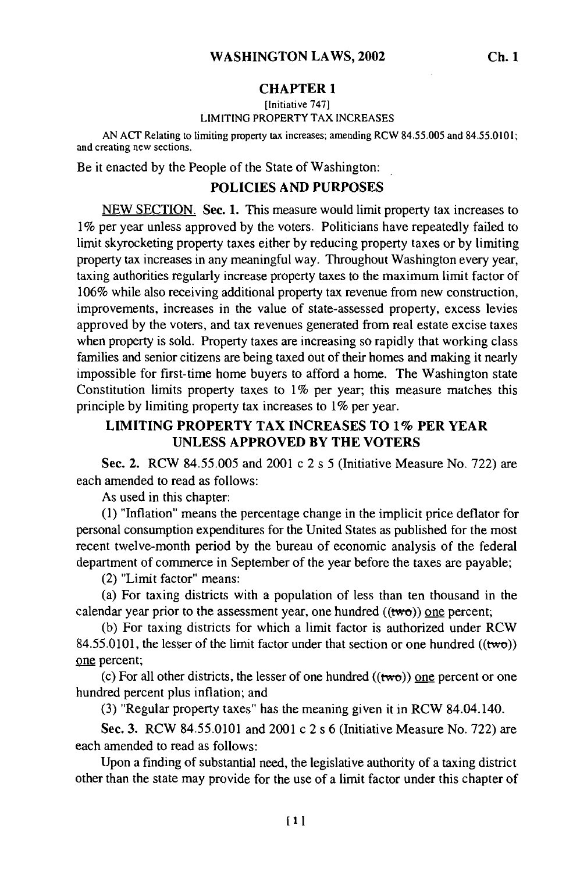#### **CHAPTER 1**

#### [Initiative **747]** LIMITING PROPERTY TAX **INCREASES**

AN ACT Relating to limiting property tax increases; amending RCW 84.55.005 and 84.55.0101; and creating new sections.

Be it enacted by the People of the State of Washington:

# POLICIES **AND PURPOSES**

**NEW** SECTION. Sec. **1.** This measure would limit property tax increases to 1% per year unless approved by the voters. Politicians have repeatedly failed to limit skyrocketing property taxes either by reducing property taxes or by limiting property tax increases in any meaningful way. Throughout Washington every year, taxing authorities regularly increase property taxes to the maximum limit factor of 106% while also receiving additional property tax revenue from new construction, improvements, increases in the value of state-assessed property, excess levies approved by the voters, and tax revenues generated from real estate excise taxes when property is sold. Property taxes are increasing so rapidly that working class families and senior citizens are being taxed out of their homes and making it nearly impossible for first-time home buyers to afford a home. The Washington state Constitution limits property taxes to 1% per year; this measure matches this principle by limiting property tax increases to 1% per year.

## **LIMITING PROPERTY TAX INCREASES TO 1% PER YEAR UNLESS** APPROVED **BY THE** VOTERS

Sec. 2. RCW **84.55.005** and 2001 c 2 s 5 (Initiative Measure No. 722) are each amended to read as follows:

As used in this chapter:

(1) "Inflation" means the percentage change in the implicit price deflator for personal consumption expenditures for the United States as published for the most recent twelve-month period by the bureau of economic analysis of the federal department of commerce in September of the year before the taxes are payable;

(2) "Limit factor" means:

(a) For taxing districts with a population of less than ten thousand in the calendar year prior to the assessment year, one hundred  $((two))$  one percent;

(b) For taxing districts for which a limit factor is authorized under RCW 84.55.0101, the lesser of the limit factor under that section or one hundred ((two)) one percent;

(c) For all other districts, the lesser of one hundred  $((two))$  one percent or one hundred percent plus inflation; and

(3) "Regular property taxes" has the meaning given it in RCW 84.04.140.

Sec. 3. RCW 84.55.0101 and 2001 c 2 s 6 (Initiative Measure No. 722) are each amended to read as follows:

Upon a finding of substantial need, the legislative authority of a taxing district other than the state may provide for the use of a limit factor under this chapter of